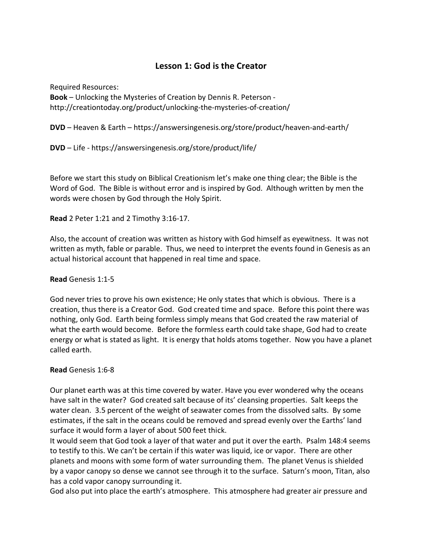# **Lesson 1: God is the Creator**

Required Resources: **Book** – Unlocking the Mysteries of Creation by Dennis R. Peterson http://creationtoday.org/product/unlocking-the-mysteries-of-creation/

**DVD** – Heaven & Earth – https://answersingenesis.org/store/product/heaven-and-earth/

**DVD** – Life - https://answersingenesis.org/store/product/life/

Before we start this study on Biblical Creationism let's make one thing clear; the Bible is the Word of God. The Bible is without error and is inspired by God. Although written by men the words were chosen by God through the Holy Spirit.

**Read** 2 Peter 1:21 and 2 Timothy 3:16-17.

Also, the account of creation was written as history with God himself as eyewitness. It was not written as myth, fable or parable. Thus, we need to interpret the events found in Genesis as an actual historical account that happened in real time and space.

### **Read** Genesis 1:1-5

God never tries to prove his own existence; He only states that which is obvious. There is a creation, thus there is a Creator God. God created time and space. Before this point there was nothing, only God. Earth being formless simply means that God created the raw material of what the earth would become. Before the formless earth could take shape, God had to create energy or what is stated as light. It is energy that holds atoms together. Now you have a planet called earth.

### **Read** Genesis 1:6-8

Our planet earth was at this time covered by water. Have you ever wondered why the oceans have salt in the water? God created salt because of its' cleansing properties. Salt keeps the water clean. 3.5 percent of the weight of seawater comes from the dissolved salts. By some estimates, if the salt in the oceans could be removed and spread evenly over the Earths' land surface it would form a layer of about 500 feet thick.

It would seem that God took a layer of that water and put it over the earth. Psalm 148:4 seems to testify to this. We can't be certain if this water was liquid, ice or vapor. There are other planets and moons with some form of water surrounding them. The planet Venus is shielded by a vapor canopy so dense we cannot see through it to the surface. Saturn's moon, Titan, also has a cold vapor canopy surrounding it.

God also put into place the earth's atmosphere. This atmosphere had greater air pressure and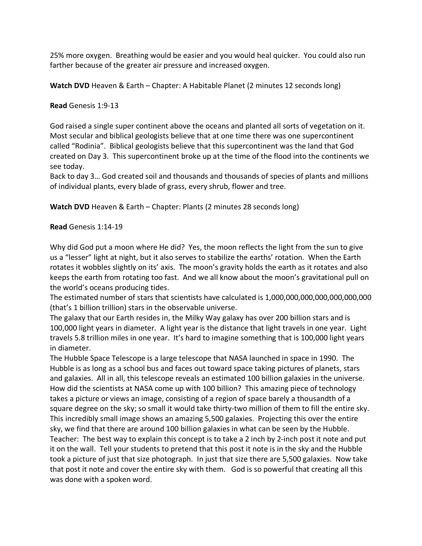25% more oxygen. Breathing would be easier and you would heal quicker. You could also run farther because of the greater air pressure and increased oxygen.

**Watch DVD** Heaven & Earth – Chapter: A Habitable Planet (2 minutes 12 seconds long)

# **Read** Genesis 1:9-13

God raised a single super continent above the oceans and planted all sorts of vegetation on it. Most secular and biblical geologists believe that at one time there was one supercontinent called "Rodinia". Biblical geologists believe that this supercontinent was the land that God created on Day 3. This supercontinent broke up at the time of the flood into the continents we see today.

Back to day 3… God created soil and thousands and thousands of species of plants and millions of individual plants, every blade of grass, every shrub, flower and tree.

**Watch DVD** Heaven & Earth – Chapter: Plants (2 minutes 28 seconds long)

# **Read** Genesis 1:14-19

Why did God put a moon where He did? Yes, the moon reflects the light from the sun to give us a "lesser" light at night, but it also serves to stabilize the earths' rotation. When the Earth rotates it wobbles slightly on its' axis. The moon's gravity holds the earth as it rotates and also keeps the earth from rotating too fast. And we all know about the moon's gravitational pull on the world's oceans producing tides.

The estimated number of stars that scientists have calculated is 1,000,000,000,000,000,000,000 (that's 1 billion trillion) stars in the observable universe.

The galaxy that our Earth resides in, the Milky Way galaxy has over 200 billion stars and is 100,000 light years in diameter. A light year is the distance that light travels in one year. Light travels 5.8 trillion miles in one year. It's hard to imagine something that is 100,000 light years in diameter.

The Hubble Space Telescope is a large telescope that NASA launched in space in 1990. The Hubble is as long as a school bus and faces out toward space taking pictures of planets, stars and galaxies. All in all, this telescope reveals an estimated 100 billion galaxies in the universe. How did the scientists at NASA come up with 100 billion? This amazing piece of technology takes a picture or views an image, consisting of a region of space barely a thousandth of a square degree on the sky; so small it would take thirty-two million of them to fill the entire sky. This incredibly small image shows an amazing 5,500 galaxies. Projecting this over the entire sky, we find that there are around 100 billion galaxies in what can be seen by the Hubble. Teacher: The best way to explain this concept is to take a 2 inch by 2-inch post it note and put it on the wall. Tell your students to pretend that this post it note is in the sky and the Hubble took a picture of just that size photograph. In just that size there are 5,500 galaxies. Now take that post it note and cover the entire sky with them. God is so powerful that creating all this was done with a spoken word.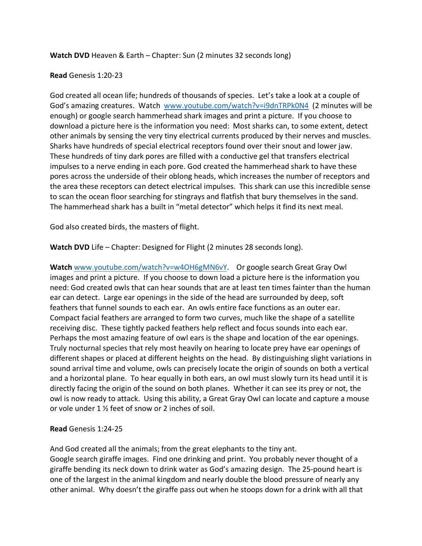# **Watch DVD** Heaven & Earth – Chapter: Sun (2 minutes 32 seconds long)

### **Read** Genesis 1:20-23

God created all ocean life; hundreds of thousands of species. Let's take a look at a couple of God's amazing creatures. Watch www.youtube.com/watch?v=i9dnTRPk0N4 (2 minutes will be enough) or google search hammerhead shark images and print a picture. If you choose to download a picture here is the information you need: Most sharks can, to some extent, detect other animals by sensing the very tiny electrical currents produced by their nerves and muscles. Sharks have hundreds of special electrical receptors found over their snout and lower jaw. These hundreds of tiny dark pores are filled with a conductive gel that transfers electrical impulses to a nerve ending in each pore. God created the hammerhead shark to have these pores across the underside of their oblong heads, which increases the number of receptors and the area these receptors can detect electrical impulses. This shark can use this incredible sense to scan the ocean floor searching for stingrays and flatfish that bury themselves in the sand. The hammerhead shark has a built in "metal detector" which helps it find its next meal.

God also created birds, the masters of flight.

**Watch DVD** Life – Chapter: Designed for Flight (2 minutes 28 seconds long).

**Watch** www.youtube.com/watch?v=w4OH6gMN6vY. Or google search Great Gray Owl images and print a picture. If you choose to down load a picture here is the information you need: God created owls that can hear sounds that are at least ten times fainter than the human ear can detect. Large ear openings in the side of the head are surrounded by deep, soft feathers that funnel sounds to each ear. An owls entire face functions as an outer ear. Compact facial feathers are arranged to form two curves, much like the shape of a satellite receiving disc. These tightly packed feathers help reflect and focus sounds into each ear. Perhaps the most amazing feature of owl ears is the shape and location of the ear openings. Truly nocturnal species that rely most heavily on hearing to locate prey have ear openings of different shapes or placed at different heights on the head. By distinguishing slight variations in sound arrival time and volume, owls can precisely locate the origin of sounds on both a vertical and a horizontal plane. To hear equally in both ears, an owl must slowly turn its head until it is directly facing the origin of the sound on both planes. Whether it can see its prey or not, the owl is now ready to attack. Using this ability, a Great Gray Owl can locate and capture a mouse or vole under 1 ½ feet of snow or 2 inches of soil.

#### **Read** Genesis 1:24-25

And God created all the animals; from the great elephants to the tiny ant. Google search giraffe images. Find one drinking and print. You probably never thought of a giraffe bending its neck down to drink water as God's amazing design. The 25-pound heart is one of the largest in the animal kingdom and nearly double the blood pressure of nearly any other animal. Why doesn't the giraffe pass out when he stoops down for a drink with all that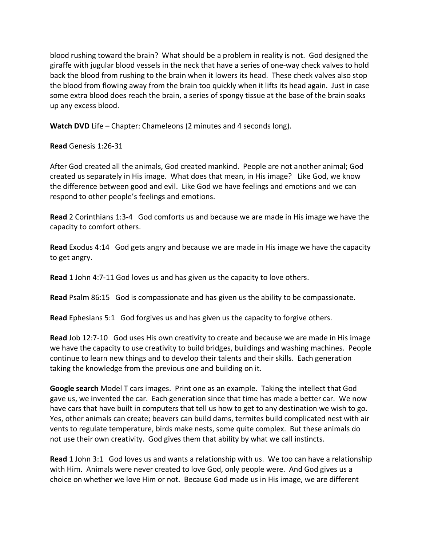blood rushing toward the brain? What should be a problem in reality is not. God designed the giraffe with jugular blood vessels in the neck that have a series of one-way check valves to hold back the blood from rushing to the brain when it lowers its head. These check valves also stop the blood from flowing away from the brain too quickly when it lifts its head again. Just in case some extra blood does reach the brain, a series of spongy tissue at the base of the brain soaks up any excess blood.

**Watch DVD** Life – Chapter: Chameleons (2 minutes and 4 seconds long).

**Read** Genesis 1:26-31

After God created all the animals, God created mankind. People are not another animal; God created us separately in His image. What does that mean, in His image? Like God, we know the difference between good and evil. Like God we have feelings and emotions and we can respond to other people's feelings and emotions.

**Read** 2 Corinthians 1:3-4 God comforts us and because we are made in His image we have the capacity to comfort others.

**Read** Exodus 4:14 God gets angry and because we are made in His image we have the capacity to get angry.

**Read** 1 John 4:7-11 God loves us and has given us the capacity to love others.

**Read** Psalm 86:15 God is compassionate and has given us the ability to be compassionate.

**Read** Ephesians 5:1 God forgives us and has given us the capacity to forgive others.

**Read** Job 12:7-10 God uses His own creativity to create and because we are made in His image we have the capacity to use creativity to build bridges, buildings and washing machines. People continue to learn new things and to develop their talents and their skills. Each generation taking the knowledge from the previous one and building on it.

**Google search** Model T cars images. Print one as an example. Taking the intellect that God gave us, we invented the car. Each generation since that time has made a better car. We now have cars that have built in computers that tell us how to get to any destination we wish to go. Yes, other animals can create; beavers can build dams, termites build complicated nest with air vents to regulate temperature, birds make nests, some quite complex. But these animals do not use their own creativity. God gives them that ability by what we call instincts.

**Read** 1 John 3:1 God loves us and wants a relationship with us. We too can have a relationship with Him. Animals were never created to love God, only people were. And God gives us a choice on whether we love Him or not. Because God made us in His image, we are different